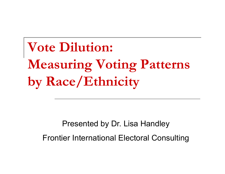**Vote Dilution: Measuring Voting Patterns by Race/Ethnicity**

Presented by Dr. Lisa Handley Frontier International Electoral Consulting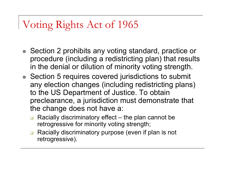# Voting Rights Act of 1965

- F. ■ Section 2 prohibits any voting standard, practice or procedure (including a redistricting plan) that results in the denial or dilution of minority voting strength.
- Section 5 requires covered jurisdictions to submit any election changes (including redistricting plans) to the US Department of Justice. To obtain preclearance, a jurisdiction must demonstrate that the change does not have a:
	- $\Box$  $\Box$  Racially discriminatory effect – the plan cannot be retrogressive for minority voting strength;
	- $\Box$  Racially discriminatory purpose (even if plan is not retrogressive).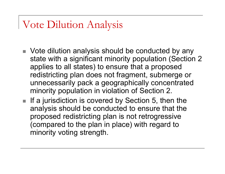## Vote Dilution Analysis

- $\blacksquare$  Vote dilution analysis should be conducted by any state with a significant minority population (Section 2 applies to all states) to ensure that a proposed redistricting plan does not fragment, submerge or unnecessarily pack a geographically concentrated minority population in violation of Section 2.
- $\blacksquare$  If a jurisdiction is covered by Section 5, then the analysis should be conducted to ensure that the proposed redistricting plan is not retrogressive (compared to the plan in place) with regard to minority voting strength.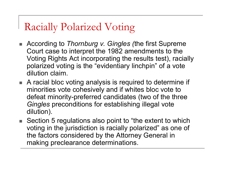# Racially Polarized Voting

- According to *Thornburg v. Gingles (the first Supreme* Court case to interpret the 1982 amendments to the Voting Rights Act incorporating the results test), racially polarized voting is the "evidentiary linchpin" of a vote dilution claim.
- A racial bloc voting analysis is required to determine if minorities vote cohesively and if whites bloc vote to defeat minority-preferred candidates (two of the three *Gingles* preconditions for establishing illegal vote dilution).
- $\blacksquare$  Section 5 regulations also point to "the extent to which voting in the jurisdiction is racially polarized" as one of the factors considered by the Attorney General in making preclearance determinations.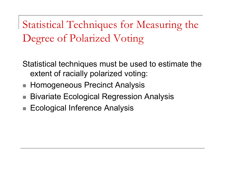Statistical Techniques for Measuring the Degree of Polarized Voting

Statistical techniques must be used to estimate the extent of racially polarized voting:

- Homogeneous Precinct Analysis
- r. **Bivariate Ecological Regression Analysis**
- × Ecological Inference Analysis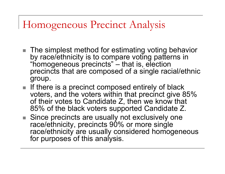# Homogeneous Precinct Analysis

- The simplest method for estimating voting behavior by race/ethnicity is to compare voting patterns in "homogeneous precincts" – that is, election precincts that are composed of a single racial/ethnic group.
- $\blacksquare$  If there is a precinct composed entirely of black voters, and the voters within that precinct give 85%  $\,$ of their votes to Candidate Z, then we know that 85% of the black voters supported Candidate Z.
- Since precincts are usually not exclusively one race/ethnicity, precincts 90% or more single race/ethnicity are usually considered homogeneous for purposes of this analysis.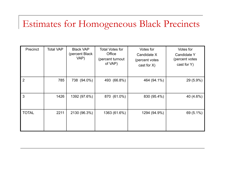## Estimates for Homogeneous Black Precincts

| Precinct       | <b>Total VAP</b> | <b>Black VAP</b><br>(percent Black)<br>VAP) | <b>Total Votes for</b><br>Office<br>(percent turnout<br>of VAP) | Votes for<br>Candidate X<br>(percent votes<br>cast for $X$ ) | Votes for<br>Candidate Y<br>(percent votes)<br>cast for Y) |
|----------------|------------------|---------------------------------------------|-----------------------------------------------------------------|--------------------------------------------------------------|------------------------------------------------------------|
| $\overline{2}$ | 785              | 738 (94.0%)                                 | 493 (66.8%)                                                     | 464 (94.1%)                                                  | 29 (5.9%)                                                  |
| 3              | 1426             | 1392 (97.6%)                                | 870 (61.0%)                                                     | 830 (95.4%)                                                  | 40 (4.6%)                                                  |
| <b>TOTAL</b>   | 2211             | 2130 (96.3%)                                | 1363 (61.6%)                                                    | 1294 (94.9%)                                                 | 69 (5.1%)                                                  |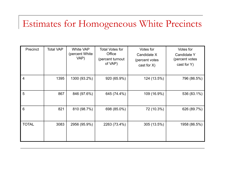## Estimates for Homogeneous White Precincts

| Precinct       | <b>Total VAP</b> | <b>White VAP</b><br>(percent White)<br>VAP) | <b>Total Votes for</b><br>Office<br>(percent turnout<br>of VAP) | Votes for<br>Candidate X<br>(percent votes<br>cast for $X$ ) | Votes for<br><b>Candidate Y</b><br>(percent votes<br>cast for $Y$ ) |
|----------------|------------------|---------------------------------------------|-----------------------------------------------------------------|--------------------------------------------------------------|---------------------------------------------------------------------|
| $\overline{4}$ | 1395             | 1300 (93.2%)                                | 920 (65.9%)                                                     | 124 (13.5%)                                                  | 796 (86.5%)                                                         |
| 5              | 867              | 846 (97.6%)                                 | 645 (74.4%)                                                     | 109 (16.9%)                                                  | 536 (83.1%)                                                         |
| 6              | 821              | 810 (98.7%)                                 | 698 (85.0%)                                                     | 72 (10.3%)                                                   | 626 (89.7%)                                                         |
| <b>TOTAL</b>   | 3083             | 2956 (95.9%)                                | 2263 (73.4%)                                                    | 305 (13.5%)                                                  | 1958 (86.5%)                                                        |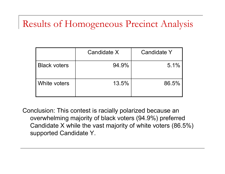## Results of Homogeneous Precinct Analysis

|                     | Candidate X | <b>Candidate Y</b> |
|---------------------|-------------|--------------------|
| <b>Black voters</b> | 94.9%       | 5.1%               |
| White voters        | 13.5%       | 86.5%              |

Conclusion: This contest is racially polarized because an overwhelming majority of black voters (94.9%) preferred Candidate X while the vast majority of white voters (86.5%) supported Candidate Y.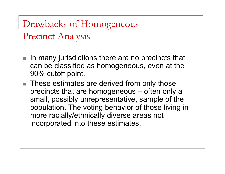Drawbacks of Homogeneous Precinct Analysis

- P. In many jurisdictions there are no precincts that can be classified as homogeneous, even at the 90% cutoff point.
- These estimates are derived from only those precincts that are homogeneous – often only a small, possibly unrepresentative, sample of the population. The voting behavior of those living in more racially/ethnically diverse areas not incorporated into these estimates.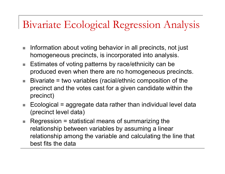# Bivariate Ecological Regression Analysis

- $\mathcal{L}_{\mathcal{A}}$  Information about voting behavior in all precincts, not just homogeneous precincts, is incorporated into analysis.
- $\mathcal{L}_{\mathcal{A}}$  Estimates of voting patterns by race/ethnicity can be produced even when there are no homogeneous precincts.
- $\mathcal{L}_{\mathcal{A}}$  Bivariate = two variables (racial/ethnic composition of the precinct and the votes cast for a given candidate within the precinct)
- $\mathcal{L}_{\mathcal{A}}$  Ecological = aggregate data rather than individual level data (precinct level data)
- $\overline{\mathcal{A}}$  $\blacksquare$  Regression = statistical means of summarizing the relationship between variables by assuming a linear relationship among the variable and calculating the line that best fits the data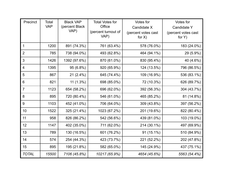| Precinct       | Total<br><b>VAP</b> | <b>Black VAP</b><br>(percent Black<br>VAP) | <b>Total Votes for</b><br>Office<br>(percent turnout of<br>VAP) | Votes for<br>Candidate X<br>(percent votes cast | Votes for<br><b>Candidate Y</b><br>(percent votes cast |
|----------------|---------------------|--------------------------------------------|-----------------------------------------------------------------|-------------------------------------------------|--------------------------------------------------------|
|                |                     |                                            |                                                                 | for $X$ )                                       | for $Y$ )                                              |
| $\mathbf{1}$   | 1200                | 891 (74.3%)                                | 761 (63.4%)                                                     | 578 (76.0%)                                     | 183 (24.0%)                                            |
| $\overline{2}$ | 785                 | 738 (94.0%)                                | 493 (62.8%)                                                     | 464 (94.1%)                                     | 29 (5.9%)                                              |
| 3              | 1426                | 1392 (97.6%)                               | 870 (61.0%)                                                     | 830 (95.4%)                                     | 40 (4.6%)                                              |
| $\overline{4}$ | 1395                | 95 (6.8%)                                  | 920 (65.9%)                                                     | 124 (13.5%)                                     | 796 (86.5%)                                            |
| 5              | 867                 | $21(2.4\%)$                                | 645 (74.4%)                                                     | 109 (16.9%)                                     | 536 (83.1%)                                            |
| 6              | 821                 | $11(1.3\%)$                                | 698 (85.0%)                                                     | 72 (10.3%)                                      | 626 (89.7%)                                            |
| $\overline{7}$ | 1123                | 654 (58.2%)                                | 696 (62.0%)                                                     | 392 (56.3%)                                     | 304 (43.7%)                                            |
| 8              | 895                 | 720 (80.4%)                                | 546 (61.0%)                                                     | 465 (85.2%)                                     | 81 (14.8%)                                             |
| 9              | 1103                | 452 (41.0%)                                | 706 (64.0%)                                                     | 309 (43.8%)                                     | 397 (56.2%)                                            |
| 10             | 1522                | 325 (21.4%)                                | 1023 (67.2%)                                                    | 201 (19.6%)                                     | 822 (80.4%)                                            |
| 11             | 958                 | 826 (86.2%)                                | 542 (56.6%)                                                     | 439 (81.0%)                                     | 103 (19.0%)                                            |
| 12             | 1147                | 402 (35.0%)                                | 711 (62.0%)                                                     | 214 (30.1%)                                     | 497 (69.9%)                                            |
| 13             | 789                 | 130 (16.5%)                                | 601 (76.2%)                                                     | $91(15.1\%)$                                    | 510 (84.9%)                                            |
| 14             | 574                 | 254 (44.3%)                                | 423 (73.7%)                                                     | 221 (52.2%)                                     | 202 (47.8%)                                            |
| 15             | 895                 | 195 (21.8%)                                | 582 (65.0%)                                                     | 145 (24.9%)                                     | 437 (75.1%)                                            |
| <b>TOTAL</b>   | 15500               | 7106 (45.8%)                               | 10217 (65.9%)                                                   | 4654 (45.6%)                                    | 5563 (54.4%)                                           |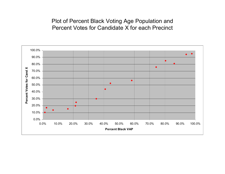#### Plot of Percent Black Voting Age Population and Percent Votes for Candidate X for each Precinct

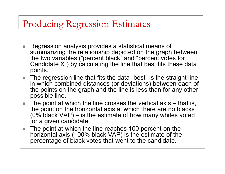#### Producing Regression Estimates

- $\blacksquare$  Regression analysis provides a statistical means of summarizing the relationship depicted on the graph between the two variables ("percent black" and "percent votes for Candidate X") by calculating the line that best fits these data points.
- $\blacksquare$  The regression line that fits the data "best" is the straight line in which combined distances (or deviations) between each of the points on the graph and the line is less than for any other possible line.
- $\blacksquare$  The point at which the line crosses the vertical axis that is, the point on the horizontal axis at which there are no blacks (0% black VAP) – is the estimate of how many whites voted for a given candidate.
- $\blacksquare$  The point at which the line reaches 100 percent on the horizontal axis (100% black VAP) is the estimate of the percentage of black votes that went to the candidate.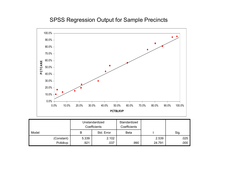#### SPSS Regression Output for Sample Precincts



|            |       | Unstandardized<br>Coefficients | Standardized<br>Coefficients |        |      |
|------------|-------|--------------------------------|------------------------------|--------|------|
| Model      | B     | Std. Error                     | <b>Beta</b>                  |        | Sig. |
| (Constant) | 5.339 | 2.102                          |                              | 2.539  | .025 |
| Pctblkvp   | .921  | .037                           | .990                         | 24.791 | .000 |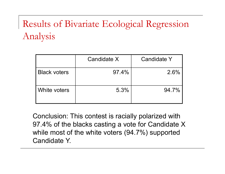# Results of Bivariate Ecological Regression Analysis

|                     | Candidate X | Candidate Y |
|---------------------|-------------|-------------|
| <b>Black voters</b> | $97.4\%$    | 2.6%        |
| White voters        | 5.3%        | 94.7%       |

Conclusion: This contest is raciall y polarized with 97.4% of the blacks casting a vote for Candidate X while most of the white voters (94.7%) supported Candidate Y.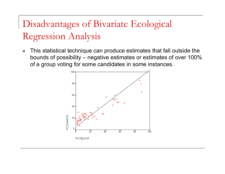# Disadvantages of Bivariate Ecological Regression Analysis

 $\mathcal{C}$  This statistical technique can produce estimates that fall outside the bounds of possibility – negative estimates or estimates of over 100% of a group voting for some candidates in some instances.

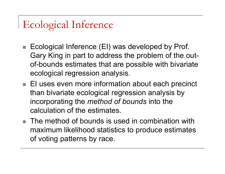# Ecological Inference

- P. Ecological Inference (EI) was developed by Prof. Gary King in part to address the problem of the outof-bounds estimates that are possible with bivariate ecological regression analysis.
- EI uses even more information about each precinct than bivariate ecological regression analysis by incorporating the *method of bounds* into the calculation of the estimates.
- The method of bounds is used in combination with maximum likelihood statistics to produce estimates of voting patterns by race.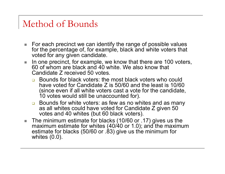#### Method of Bounds

- $\blacksquare$  For each precinct we can identify the range of possible values for the percentage of, for example, black and white voters that voted for any given candidate.
- $\mathbb{R}^n$  In one precinct, for example, we know that there are 100 voters, 60 of whom are black and 40 white. We also know that Candidate Z received 50 votes.
	- **Bounds for black voters: the most black voters who could** have voted for Candidate Z is 50/60 and the least is 10/60 (since even if all white voters cast a vote for the candidate, 10 votes would still be unaccounted for).
	- **□** Bounds for white voters: as few as no whites and as many as all whites could have voted for Candidate Z given 50 votes and 40 whites (but 60 black voters).
- $\blacksquare$  The minimum estimate for blacks (10/60 or .17) gives us the maximum estimate for whites (40/40 or 1.0); and the maximum estimate for blacks (50/60 or .83) give us the minimum for whites (0.0).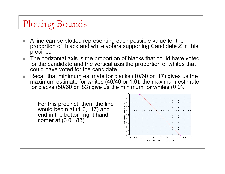## Plotting Bounds

- **I**  A line can be plotted representing each possible value for the proportion of black and white voters supporting Candidate Z in this precinct.
- $\mathbb{R}^3$  The horizontal axis is the proportion of blacks that could have voted for the candidate and the vertical axis the proportion of whites that could have voted for the candidate.
- $\blacksquare$  Recall that minimum estimate for blacks (10/60 or .17) gives us the maximum estimate for whites (40/40 or 1.0); the maximum estimate for blacks (50/60 or .83) give us the minimum for whites (0.0).

For this precinct, then, the line would begin at (1.0, .17) and end in the bottom right hand corner at  $(0.0, .83)$ .

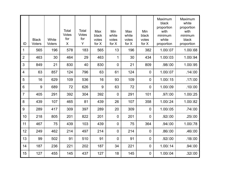| ID             | <b>Black</b><br><b>Voters</b> | White<br>Voters | Total<br><b>Votes</b><br>for<br>X | Total<br><b>Votes</b><br>for<br>Y | Max<br>black<br>votes<br>for $X$ | Min<br>white<br>votes<br>for $X$ | Max<br>white<br>votes<br>for $X$ | Min<br>black<br>votes<br>for $X$ | Maximum<br>black<br>proportion<br>with<br>minimum<br>white<br>proportion | Maximum<br>white<br>proportion<br>with<br>minimum<br>black<br>proportion |
|----------------|-------------------------------|-----------------|-----------------------------------|-----------------------------------|----------------------------------|----------------------------------|----------------------------------|----------------------------------|--------------------------------------------------------------------------|--------------------------------------------------------------------------|
| 1              | 565                           | 196             | 578                               | 183                               | 565                              | 13                               | 196                              | 382                              | 1.00/.07                                                                 | 1.00/.68                                                                 |
| $\overline{2}$ | 463                           | 30              | 464                               | 29                                | 463                              | $\mathbf 1$                      | 30                               | 434                              | 1.00/.03                                                                 | 1.00/.94                                                                 |
| $\overline{3}$ | 849                           | 21              | 830                               | 40                                | 830                              | $\mathbf 0$                      | 21                               | 809                              | .98/.00                                                                  | 1.00/.95                                                                 |
| $\overline{4}$ | 63                            | 857             | 124                               | 796                               | 63                               | 61                               | 124                              | $\mathbf 0$                      | 1.00/.07                                                                 | .14/00                                                                   |
| 5              | 16                            | 629             | 109                               | 536                               | 16                               | 93                               | 109                              | $\overline{0}$                   | 1.00/0.15                                                                | .17/00                                                                   |
| 6              | 9                             | 689             | 72                                | 626                               | 9                                | 63                               | 72                               | $\overline{0}$                   | 1.00/.09                                                                 | .10/00                                                                   |
| $\overline{7}$ | 405                           | 291             | 392                               | 304                               | 392                              | $\mathbf 0$                      | 291                              | 101                              | .97/.00                                                                  | 1.00/.25                                                                 |
| 8              | 439                           | 107             | 465                               | 81                                | 439                              | 26                               | 107                              | 358                              | 1.00/.24                                                                 | 1.00/.82                                                                 |
| 9              | 289                           | 417             | 309                               | 397                               | 289                              | 20                               | 309                              | $\overline{0}$                   | 1.00/.05                                                                 | .74/.00                                                                  |
| 10             | 218                           | 805             | 201                               | 822                               | 201                              | $\overline{0}$                   | 201                              | $\overline{0}$                   | .92/00                                                                   | .25/0.00                                                                 |
| 11             | 467                           | 75              | 439                               | 103                               | 439                              | $\mathbf 0$                      | 75                               | 364                              | .94/.00                                                                  | 1.00/.78                                                                 |
| 12             | 249                           | 462             | 214                               | 497                               | 214                              | $\mathbf 0$                      | 214                              | $\overline{0}$                   | .86/.00                                                                  | .46/.00                                                                  |
| 13             | 99                            | 502             | 91                                | 510                               | 91                               | $\overline{0}$                   | 91                               | $\mathbf 0$                      | .92/.00                                                                  | .18/00                                                                   |
| 14             | 187                           | 236             | 221                               | 202                               | 187                              | 34                               | 221                              | 0                                | 1.00/0.14                                                                | .94/.00                                                                  |
| 15             | 127                           | 455             | 145                               | 437                               | 127                              | 18                               | 145                              | $\overline{0}$                   | 1.00/.04                                                                 | .32/.00                                                                  |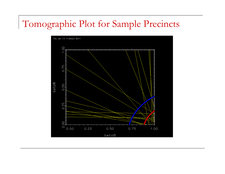## Tomographic Plot for Sample Precincts

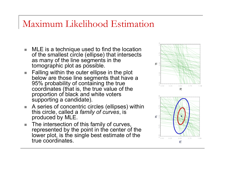#### Maximum Likelihood Estimation

- MLE is a technique used to find the location of the smallest circle (ellipse) that intersects as many of the line segments in the tomographic plot as possible.
- $\blacksquare$  Falling within the outer ellipse in the plot below are those line segments that have a 95% probability of containing the true coordinates (that is, the true value of the proportion of black and white voters supporting a candidate).
- A series of concentric circles (ellipses) within this circle, called a *family of curves*, is produced by MLE.
- The intersection of this family of curves, represented by the point in the center of the lower plot, is the single best estimate of the true coordinates.



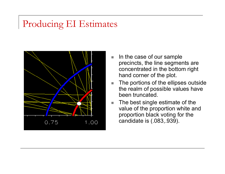### Producing EI Estimates



- П In the case of our sample precincts, the line segments are concentrated in the bottom right hand corner of the plot.
- The portions of the ellipses outside the realm of possible values have been truncated.
- П The best single estimate of the value of the proportion white and proportion black voting for the candidate is (.083,.939).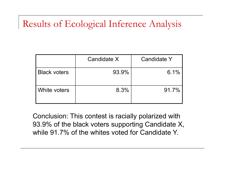## Results of Ecological Inference Analysis

|                     | Candidate X | Candidate Y |
|---------------------|-------------|-------------|
| <b>Black voters</b> | 93.9%       | 6.1%        |
| White voters        | 8.3%        | $91.7\%$    |

Conclusion: This contest is raciall y polarized with 93.9% of the black voters supporting Candidate X, while 91.7% of the whites voted for Candidate Y.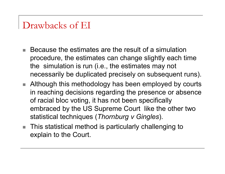#### Drawbacks of EI

- Because the estimates are the result of a simulation procedure, the estimates can change slightly each time the simulation is run (i.e., the estimates may not necessarily be duplicated precisely on subsequent runs).
- Although this methodology has been employed by courts in reaching decisions regarding the presence or absence of racial bloc voting, it has not been specifically embraced by the US Supreme Court like the other two statistical techniques (*Thornburg v Gingles*).
- This statistical method is particularly challenging to explain to the Court.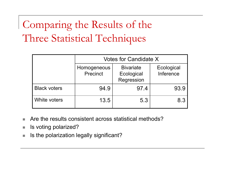Comparing the Results of the Three Statistical Techniques

|                     | Votes for Candidate X   |                                              |                         |  |  |
|---------------------|-------------------------|----------------------------------------------|-------------------------|--|--|
|                     | Homogeneous<br>Precinct | <b>Bivariate</b><br>Ecological<br>Regression | Ecological<br>Inference |  |  |
| <b>Black voters</b> | 94.9                    | 97.4                                         | 93.9                    |  |  |
| White voters        | 13.5                    | 5.3                                          | 8.3                     |  |  |

- P. Are the results consistent across statistical methods?
- $\sim$ Is voting polarized?
- P. Is the polarization legally significant?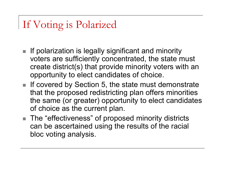## If Voting is Polarized

- $\blacksquare$  If polarization is legally significant and minority voters are sufficiently concentrated, the state must create district(s) that provide minority voters with an opportunity to elect candidates of choice.
- $\blacksquare$  If covered by Section 5, the state must demonstrate that the proposed redistricting plan offers minorities the same (or greater) opportunity to elect candidates of choice as the current plan.
- $\blacksquare$  The "effectiveness" of proposed minority districts can be ascertained using the results of the racial bloc voting analysis.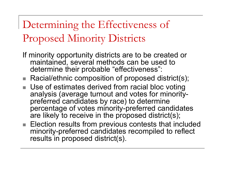Determining the Effectiveness of Proposed Minority Districts

- If minority opportunity districts are to be created or maintained, several methods can be used to determine their probable "effectiveness":
- $\blacksquare$  Racial/ethnic composition of proposed district(s);
- Use of estimates derived from racial bloc voting analysis (average turnout and votes for minoritypreferred candidates by race) to determine percentage of votes minority-preferred candidates are likely to receive in the proposed district(s);
- $\blacksquare$  Election results from previous contests that included minority-preferred candidates recompiled to reflect results in proposed district(s).